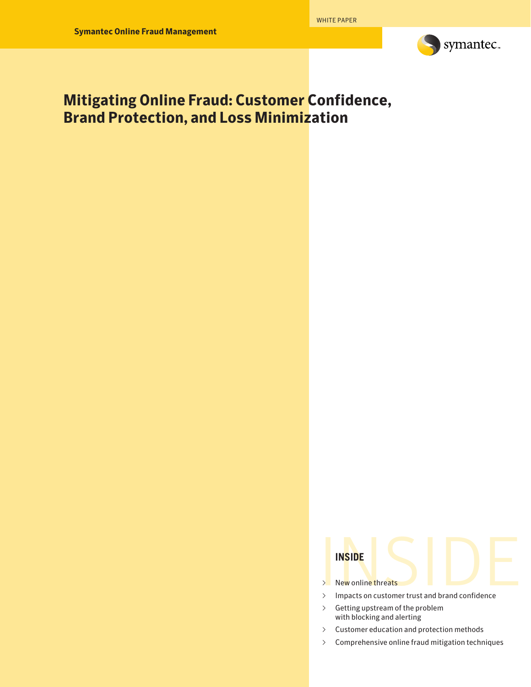

# **Mitigating Online Fraud: Customer Confidence, Brand Protection, and Loss Minimization**

- ∆ New online threats
- INSIDE<br>
> New online threats<br>
> Impacts on customer trust and brand confidence ∆ Impacts on customer trust and brand confidence
- ∆ Getting upstream of the problem with blocking and alerting
- ∆ Customer education and protection methods
- ∆ Comprehensive online fraud mitigation techniques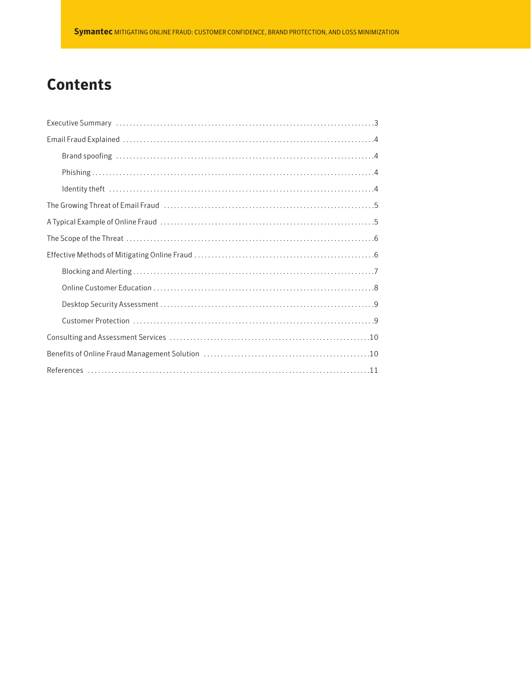# **Contents**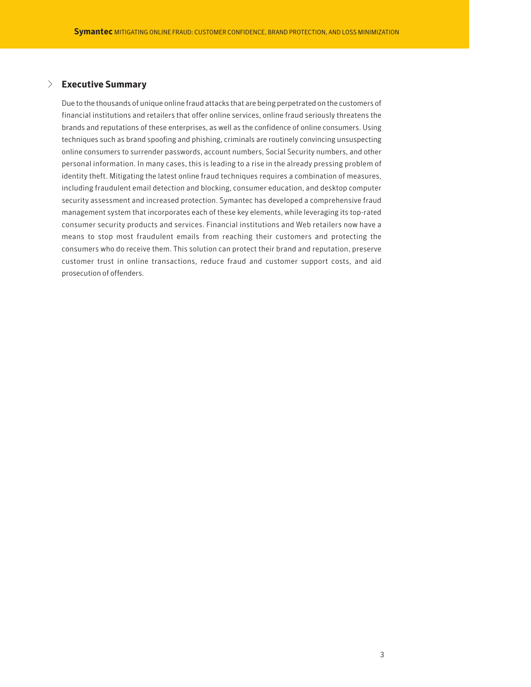## √ **Executive Summary**

Due to the thousands of unique online fraud attacks that are being perpetrated on the customers of financial institutions and retailers that offer online services, online fraud seriously threatens the brands and reputations of these enterprises, as well as the confidence of online consumers. Using techniques such as brand spoofing and phishing, criminals are routinely convincing unsuspecting online consumers to surrender passwords, account numbers, Social Security numbers, and other personal information. In many cases, this is leading to a rise in the already pressing problem of identity theft. Mitigating the latest online fraud techniques requires a combination of measures, including fraudulent email detection and blocking, consumer education, and desktop computer security assessment and increased protection. Symantec has developed a comprehensive fraud management system that incorporates each of these key elements, while leveraging its top-rated consumer security products and services. Financial institutions and Web retailers now have a means to stop most fraudulent emails from reaching their customers and protecting the consumers who do receive them. This solution can protect their brand and reputation, preserve customer trust in online transactions, reduce fraud and customer support costs, and aid prosecution of offenders.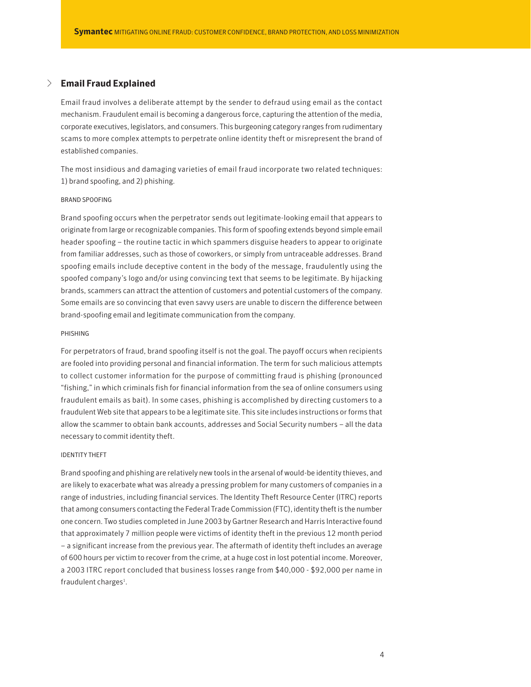# √ **Email Fraud Explained**

Email fraud involves a deliberate attempt by the sender to defraud using email as the contact mechanism. Fraudulent email is becoming a dangerous force, capturing the attention of the media, corporate executives, legislators, and consumers. This burgeoning category ranges from rudimentary scams to more complex attempts to perpetrate online identity theft or misrepresent the brand of established companies.

The most insidious and damaging varieties of email fraud incorporate two related techniques: 1) brand spoofing, and 2) phishing.

#### BRAND SPOOFING

Brand spoofing occurs when the perpetrator sends out legitimate-looking email that appears to originate from large or recognizable companies. This form of spoofing extends beyond simple email header spoofing – the routine tactic in which spammers disguise headers to appear to originate from familiar addresses, such as those of coworkers, or simply from untraceable addresses. Brand spoofing emails include deceptive content in the body of the message, fraudulently using the spoofed company's logo and/or using convincing text that seems to be legitimate. By hijacking brands, scammers can attract the attention of customers and potential customers of the company. Some emails are so convincing that even savvy users are unable to discern the difference between brand-spoofing email and legitimate communication from the company.

#### PHISHING

For perpetrators of fraud, brand spoofing itself is not the goal. The payoff occurs when recipients are fooled into providing personal and financial information. The term for such malicious attempts to collect customer information for the purpose of committing fraud is phishing (pronounced "fishing," in which criminals fish for financial information from the sea of online consumers using fraudulent emails as bait). In some cases, phishing is accomplished by directing customers to a fraudulent Web site that appears to be a legitimate site. This site includes instructions or forms that allow the scammer to obtain bank accounts, addresses and Social Security numbers – all the data necessary to commit identity theft.

#### IDENTITY THEFT

Brand spoofing and phishing are relatively new tools in the arsenal of would-be identity thieves, and are likely to exacerbate what was already a pressing problem for many customers of companies in a range of industries, including financial services. The Identity Theft Resource Center (ITRC) reports that among consumers contacting the Federal Trade Commission (FTC), identity theft is the number one concern. Two studies completed in June 2003 by Gartner Research and Harris Interactive found that approximately 7 million people were victims of identity theft in the previous 12 month period – a significant increase from the previous year. The aftermath of identity theft includes an average of 600 hours per victim to recover from the crime, at a huge cost in lost potential income. Moreover, a 2003 ITRC report concluded that business losses range from \$40,000 - \$92,000 per name in fraudulent charges<sup>1</sup>.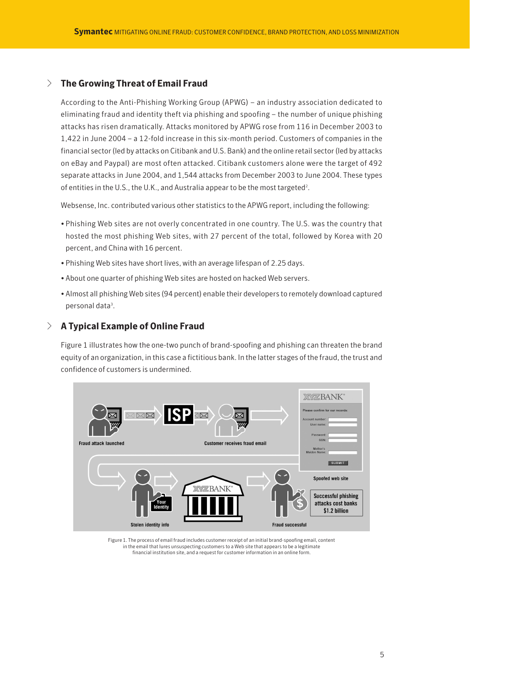# √ **The Growing Threat of Email Fraud**

According to the Anti-Phishing Working Group (APWG) – an industry association dedicated to eliminating fraud and identity theft via phishing and spoofing – the number of unique phishing attacks has risen dramatically. Attacks monitored by APWG rose from 116 in December 2003 to 1,422 in June 2004 – a 12-fold increase in this six-month period. Customers of companies in the financial sector (led by attacks on Citibank and U.S. Bank) and the online retail sector (led by attacks on eBay and Paypal) are most often attacked. Citibank customers alone were the target of 492 separate attacks in June 2004, and 1,544 attacks from December 2003 to June 2004. These types of entities in the U.S., the U.K., and Australia appear to be the most targeted<sup>2</sup>.

Websense, Inc. contributed various other statistics to the APWG report, including the following:

- Phishing Web sites are not overly concentrated in one country. The U.S. was the country that hosted the most phishing Web sites, with 27 percent of the total, followed by Korea with 20 percent, and China with 16 percent.
- Phishing Web sites have short lives, with an average lifespan of 2.25 days.
- About one quarter of phishing Web sites are hosted on hacked Web servers.
- Almost all phishing Web sites (94 percent) enable their developers to remotely download captured personal data<sup>3</sup>.

# √ **A Typical Example of Online Fraud**

Figure 1 illustrates how the one-two punch of brand-spoofing and phishing can threaten the brand equity of an organization, in this case a fictitious bank. In the latter stages of the fraud, the trust and confidence of customers is undermined.



Figure 1. The process of email fraud includes customer receipt of an initial brand-spoofing email, content in the email that lures unsuspecting customers to a Web site that appears to be a legitimate financial institution site, and a request for customer information in an online form.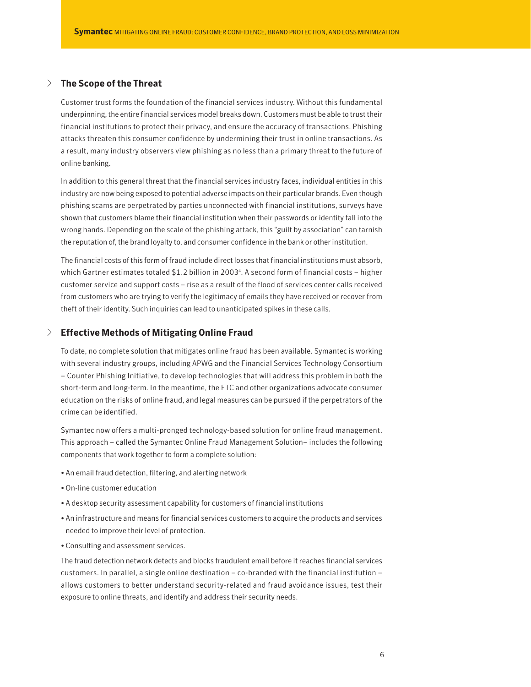# √ **The Scope of the Threat**

Customer trust forms the foundation of the financial services industry. Without this fundamental underpinning, the entire financial services model breaks down. Customers must be able to trust their financial institutions to protect their privacy, and ensure the accuracy of transactions. Phishing attacks threaten this consumer confidence by undermining their trust in online transactions. As a result, many industry observers view phishing as no less than a primary threat to the future of online banking.

In addition to this general threat that the financial services industry faces, individual entities in this industry are now being exposed to potential adverse impacts on their particular brands. Even though phishing scams are perpetrated by parties unconnected with financial institutions, surveys have shown that customers blame their financial institution when their passwords or identity fall into the wrong hands. Depending on the scale of the phishing attack, this "guilt by association" can tarnish the reputation of, the brand loyalty to, and consumer confidence in the bank or other institution.

The financial costs of this form of fraud include direct losses that financial institutions must absorb, which Gartner estimates totaled \$1.2 billion in 2003<sup>4</sup>. A second form of financial costs - higher customer service and support costs – rise as a result of the flood of services center calls received from customers who are trying to verify the legitimacy of emails they have received or recover from theft of their identity. Such inquiries can lead to unanticipated spikes in these calls.

## √ **Effective Methods of Mitigating Online Fraud**

To date, no complete solution that mitigates online fraud has been available. Symantec is working with several industry groups, including APWG and the Financial Services Technology Consortium – Counter Phishing Initiative, to develop technologies that will address this problem in both the short-term and long-term. In the meantime, the FTC and other organizations advocate consumer education on the risks of online fraud, and legal measures can be pursued if the perpetrators of the crime can be identified.

Symantec now offers a multi-pronged technology-based solution for online fraud management. This approach – called the Symantec Online Fraud Management Solution– includes the following components that work together to form a complete solution:

- An email fraud detection, filtering, and alerting network
- On-line customer education
- A desktop security assessment capability for customers of financial institutions
- An infrastructure and means for financial services customers to acquire the products and services needed to improve their level of protection.
- Consulting and assessment services.

The fraud detection network detects and blocks fraudulent email before it reaches financial services customers. In parallel, a single online destination – co-branded with the financial institution – allows customers to better understand security-related and fraud avoidance issues, test their exposure to online threats, and identify and address their security needs.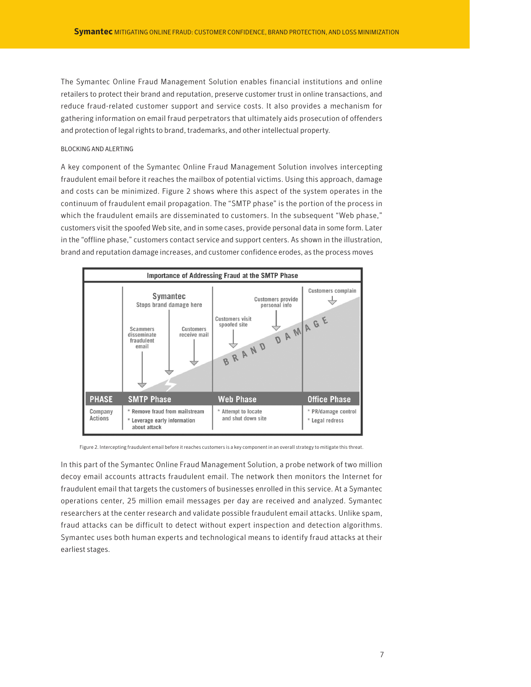The Symantec Online Fraud Management Solution enables financial institutions and online retailers to protect their brand and reputation, preserve customer trust in online transactions, and reduce fraud-related customer support and service costs. It also provides a mechanism for gathering information on email fraud perpetrators that ultimately aids prosecution of offenders and protection of legal rights to brand, trademarks, and other intellectual property.

#### BLOCKING AND ALERTING

A key component of the Symantec Online Fraud Management Solution involves intercepting fraudulent email before it reaches the mailbox of potential victims. Using this approach, damage and costs can be minimized. Figure 2 shows where this aspect of the system operates in the continuum of fraudulent email propagation. The "SMTP phase" is the portion of the process in which the fraudulent emails are disseminated to customers. In the subsequent "Web phase," customers visit the spoofed Web site, and in some cases, provide personal data in some form. Later in the "offline phase," customers contact service and support centers. As shown in the illustration, brand and reputation damage increases, and customer confidence erodes, as the process moves



Figure 2. Intercepting fraudulent email before it reaches customers is a key component in an overall strategy to mitigate this threat.

In this part of the Symantec Online Fraud Management Solution, a probe network of two million decoy email accounts attracts fraudulent email. The network then monitors the Internet for fraudulent email that targets the customers of businesses enrolled in this service. At a Symantec operations center, 25 million email messages per day are received and analyzed. Symantec researchers at the center research and validate possible fraudulent email attacks. Unlike spam, fraud attacks can be difficult to detect without expert inspection and detection algorithms. Symantec uses both human experts and technological means to identify fraud attacks at their earliest stages.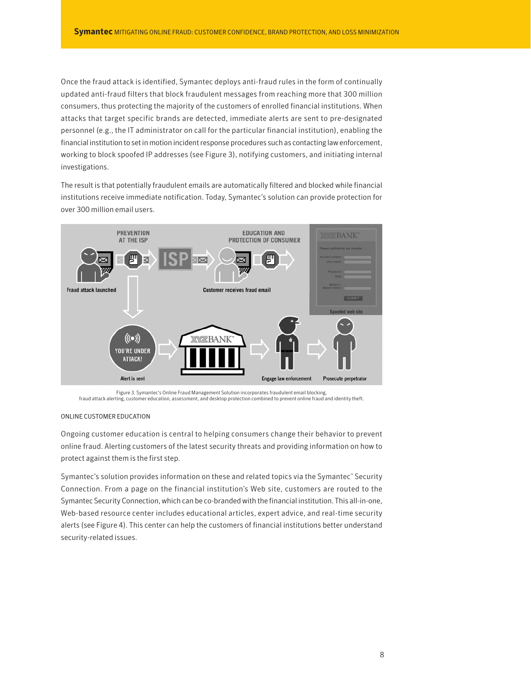Once the fraud attack is identified, Symantec deploys anti-fraud rules in the form of continually updated anti-fraud filters that block fraudulent messages from reaching more that 300 million consumers, thus protecting the majority of the customers of enrolled financial institutions. When attacks that target specific brands are detected, immediate alerts are sent to pre-designated personnel (e.g., the IT administrator on call for the particular financial institution), enabling the financial institution to set in motion incident response procedures such as contacting law enforcement, working to block spoofed IP addresses (see Figure 3), notifying customers, and initiating internal investigations.

The result is that potentially fraudulent emails are automatically filtered and blocked while financial institutions receive immediate notification. Today, Symantec's solution can provide protection for over 300 million email users.



Figure 3. Symantec's Online Fraud Management Solution incorporates fraudulent email blocking, fraud attack alerting, customer education, assessment, and desktop protection combined to prevent online fraud and identity theft.

#### ONLINE CUSTOMER EDUCATION

Ongoing customer education is central to helping consumers change their behavior to prevent online fraud. Alerting customers of the latest security threats and providing information on how to protect against them is the first step.

Symantec's solution provides information on these and related topics via the Symantec" Security Connection. From a page on the financial institution's Web site, customers are routed to the Symantec Security Connection, which can be co-branded with the financial institution. This all-in-one, Web-based resource center includes educational articles, expert advice, and real-time security alerts (see Figure 4). This center can help the customers of financial institutions better understand security-related issues.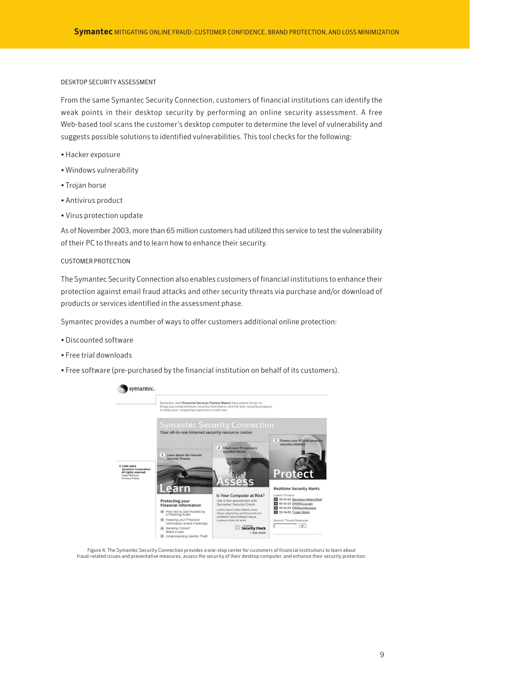#### DESKTOP SECURITY ASSESSMENT

From the same Symantec Security Connection, customers of financial institutions can identify the weak points in their desktop security by performing an online security assessment. A free Web-based tool scans the customer's desktop computer to determine the level of vulnerability and suggests possible solutions to identified vulnerabilities. This tool checks for the following:

- Hacker exposure
- Windows vulnerability
- Trojan horse
- Antivirus product
- Virus protection update

As of November 2003, more than 65 million customers had utilized this service to test the vulnerability of their PC to threats and to learn how to enhance their security.

#### CUSTOMER PROTECTION

The Symantec Security Connection also enables customers of financial institutions to enhance their protection against email fraud attacks and other security threats via purchase and/or download of products or services identified in the assessment phase.

Symantec provides a number of ways to offer customers additional online protection:

- Discounted software
- Free trial downloads
- Free software (pre-purchased by the financial institution on behalf of its customers).



Figure 4. The Symantec Security Connection provides a one-stop center for customers of financial institutions to learn about fraud-related issues and preventative measures, assess the security of their desktop computer, and enhance their security protection.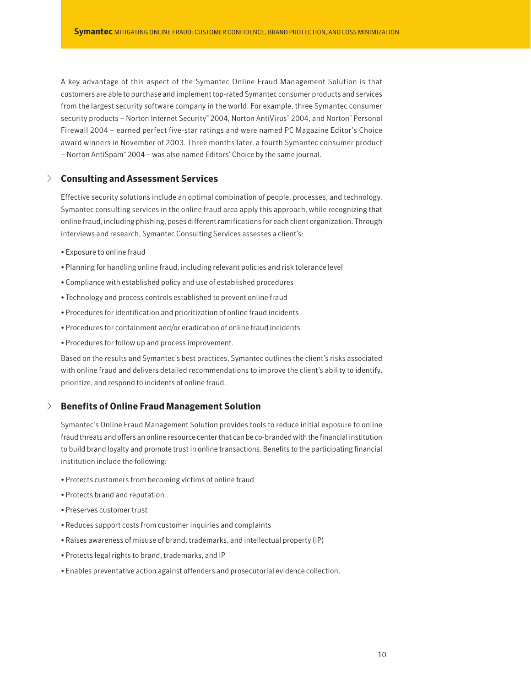A key advantage of this aspect of the Symantec Online Fraud Management Solution is that customers are able to purchase and implement top-rated Symantec consumer products and services from the largest security software company in the world. For example, three Symantec consumer security products – Norton Internet Security" 2004, Norton AntiVirus" 2004, and Norton" Personal Firewall 2004 – earned perfect five-star ratings and were named PC Magazine Editor's Choice award winners in November of 2003. Three months later, a fourth Symantec consumer product – Norton AntiSpam™ 2004 – was also named Editors' Choice by the same journal.

# √ **Consulting and Assessment Services**

Effective security solutions include an optimal combination of people, processes, and technology. Symantec consulting services in the online fraud area apply this approach, while recognizing that online fraud, including phishing, poses different ramifications for each client organization. Through interviews and research, Symantec Consulting Services assesses a client's:

- Exposure to online fraud
- Planning for handling online fraud, including relevant policies and risk tolerance level
- Compliance with established policy and use of established procedures
- Technology and process controls established to prevent online fraud
- Procedures for identification and prioritization of online fraud incidents
- Procedures for containment and/or eradication of online fraud incidents
- Procedures for follow up and process improvement.

Based on the results and Symantec's best practices, Symantec outlines the client's risks associated with online fraud and delivers detailed recommendations to improve the client's ability to identify, prioritize, and respond to incidents of online fraud.

# √ **Benefits of Online Fraud Management Solution**

Symantec's Online Fraud Management Solution provides tools to reduce initial exposure to online fraud threats and offers an online resource center that can be co-branded with the financial institution to build brand loyalty and promote trust in online transactions. Benefits to the participating financial institution include the following:

- Protects customers from becoming victims of online fraud
- Protects brand and reputation
- Preserves customer trust
- Reduces support costs from customer inquiries and complaints
- Raises awareness of misuse of brand, trademarks, and intellectual property (IP)
- Protects legal rights to brand, trademarks, and IP
- Enables preventative action against offenders and prosecutorial evidence collection.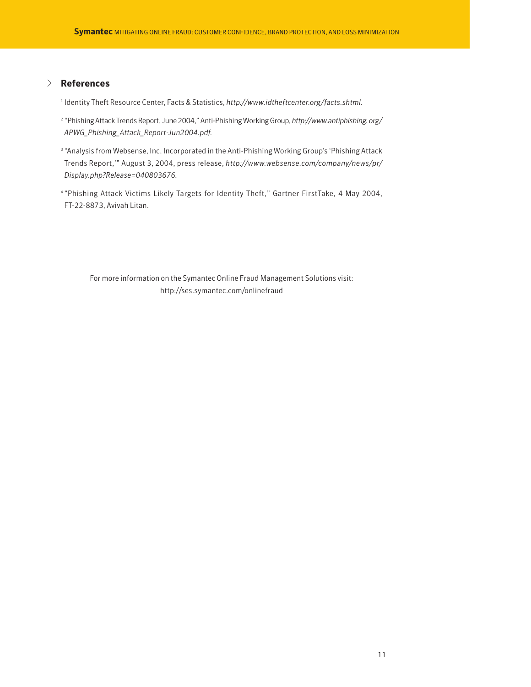# √ **References**

- <sup>1</sup> Identity Theft Resource Center, Facts & Statistics, *http://www.idtheftcenter.org/facts.shtml.*
- <sup>2</sup> "Phishing Attack Trends Report, June 2004," Anti-Phishing Working Group, *http://www.antiphishing. org/ APWG\_Phishing\_Attack\_Report-Jun2004.pdf.*
- <sup>3</sup> "Analysis from Websense, Inc. Incorporated in the Anti-Phishing Working Group's 'Phishing Attack Trends Report,'" August 3, 2004, press release, *http://www.websense.com/company/news/pr/ Display.php?Release=040803676.*
- <sup>4</sup> "Phishing Attack Victims Likely Targets for Identity Theft," Gartner FirstTake, 4 May 2004, FT-22-8873, Avivah Litan.

For more information on the Symantec Online Fraud Management Solutions visit: http://ses.symantec.com/onlinefraud